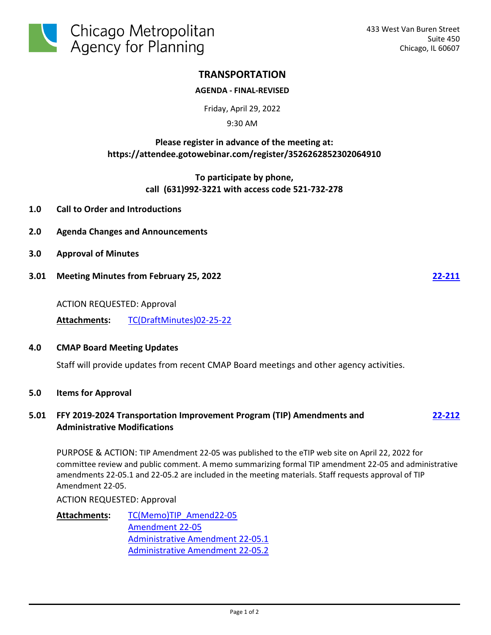

# **TRANSPORTATION**

### **AGENDA - FINAL-REVISED**

Friday, April 29, 2022

9:30 AM

## **Please register in advance of the meeting at: https://attendee.gotowebinar.com/register/3526262852302064910**

**To participate by phone, call (631)992-3221 with access code 521-732-278**

- **1.0 Call to Order and Introductions**
- **2.0 Agenda Changes and Announcements**
- **3.0 Approval of Minutes**
- **3.01 Meeting Minutes from February 25, 2022 [22-211](http://cmap.legistar.com/gateway.aspx?m=l&id=/matter.aspx?key=1492)**

ACTION REQUESTED: Approval

**Attachments:** [TC\(DraftMinutes\)02-25-22](http://cmap.legistar.com/gateway.aspx?M=F&ID=7e3c962b-c6a2-4c4c-91e4-36c8e8dd583c.pdf)

#### **4.0 CMAP Board Meeting Updates**

Staff will provide updates from recent CMAP Board meetings and other agency activities.

#### **5.0 Items for Approval**

## **5.01 FFY 2019-2024 Transportation Improvement Program (TIP) Amendments and Administrative Modifications**

PURPOSE & ACTION: TIP Amendment 22-05 was published to the eTIP web site on April 22, 2022 for committee review and public comment. A memo summarizing formal TIP amendment 22-05 and administrative amendments 22-05.1 and 22-05.2 are included in the meeting materials. Staff requests approval of TIP Amendment 22-05.

ACTION REQUESTED: Approval

[TC\(Memo\)TIP\\_Amend22-05](http://cmap.legistar.com/gateway.aspx?M=F&ID=e0d1a199-535f-4f5c-a58e-bef7b376ce73.pdf) [Amendment 22-05](https://etip.cmap.illinois.gov/fed_type_pj_list?MPO=CMAP&mtip_version=22-05&draft=True) [Administrative Amendment 22-05.1](https://etip.cmap.illinois.gov/fed_type_pj_list?MPO=CMAP&mtip_version=22-05.1&draft=True) [Administrative Amendment 22-05.2](https://etip.cmap.illinois.gov/fed_type_pj_list?MPO=CMAP&mtip_version=22-05.2&draft=True) **Attachments:**

**[22-212](http://cmap.legistar.com/gateway.aspx?m=l&id=/matter.aspx?key=1493)**